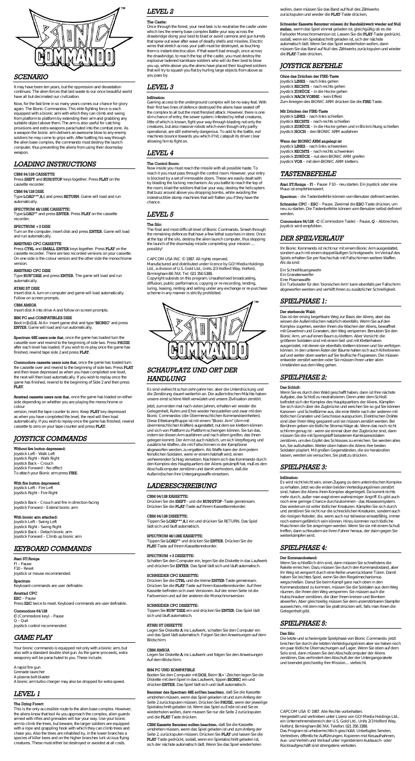

### *SCENARIO*

It may have been ten years, but the oppression and devastation continues. The alien forces that laid waste to our once beautiful world have all but decimated our civilization.

Now, for the fast time in so many years comes our chance for glory again. The Bionic Commandos. This elite fighting force is each equipped with a bionic arm with which they can climb and swing from platform to platform by extending their arm and grabbing any suitable object above them. The arm is also useful for catching provisions and extra weapons parachuted into the combat zone. As a weapon the bionic arm delivers an awesome blow to any enemy soldiers he may come to grips with. After battling his way through the alien base complex, the commando must destroy the launch computer, thus preventing the aliens from using their doomsday weapon.

### *LOADING INSTRUCTIONS*

### **CBM 64/128 CASSETTE**

Press **SHIFT** and **RUN/STOP** keys together. Press **PLAY** on the cassette recorder.

### **CBM 64/128 DISK**

Type **LOAD"\*",8,1** and press **RETURN**. Game will load and run automatically.

### **SPECTRUM 48/128K CASSETTE:**

Type **LOAD""** and press **ENTER**. Press **PLAY** on the cassette recorder.

### **SPECTRUM +3 DISK**

Turn on the computer, insert disk and press **ENTER**. Game will load and run automatically.

### **AMSTRAD CPC CASSETTE**

Press **CTRL** and **SMALL ENTER** keys together. Press **PLAY** on the cassette recorder. There are two recorded versions on your cassette. On one side is the colour version and the other side the monochrome version.

### **AMSTRAD CPC DISK**

Type **RUN"DISK** and press **ENTER**. The game will load and run automatically.

### **ATARI ST DISK**

Insert disk A, turn on computer and game will load automatically. Follow on screen prompts.

#### **CBM AMIGA**

Insert disk A into drive A and follow on screen prompts.

#### **IBM PC and COMPATIBLES DISK**

Boot in **D.O.S.** At A> insert game disk and type **'BIONIC'** and press **ENTER**. Game will load and run automatically.

**Spectrum 48K users note that**, once the game has loaded turn the cassette over and rewind to the beginning of side two. Press **PAUSE** after each level has loaded. If you wish to re-play once the game has finished, rewind tape side 2 and press **PLAY**.

**Commodore cassette users note that**, once the game has loaded turn the cassette over and rewind to the beginning of side two. Press **PLAY** and then leave depressed as when you have completed one level, the next will then load automatically. If you wish to replay once the game has finished, rewind to the beginning of Side 2 and then press **PLAY**.

**Amstrad cassette users note that**, once the game has loaded on either side depending on whether you are playing the monochrome or colour

version, reset the tape counter to zero. Keep **PLAY** key depressed as when you have completed the level, the next will then load automatically. If you wish to replay once the game has finished, rewind cassette to zero on your tape counter and press **PLAY**.

# *JOYSTICK COMMANDS*

#### **Without fire button depressed:**

Joystick Left – Walk Left Joystick Right – Walk Right Joystick Back – Crouch Joystick Forward – No effect To attach your Bionic arm press **FIRE**.

### **With flre button depressed:**

Joystick Left – Fire Left Joystick Right – Fire Right

Joystick Back – Crouch and fire in direction facing Joystick Forward – Extend bionic arm

#### **With bionic arm attached:**

Joystick Left – Swing Left Joystick Right – Swing Right Joystick Back – Detach bionic arm Joystick Forward – Climb up bionic arm

### *KEYBOARD COMMANDS*

### **Atari ST/Amiga**

Fl – Pause F10 – Reset Joystick or mouse recommended.

### **Spectrum**

Keyboard commands are user definable.

### **Amstrad CPC**

**ESC** – Pause Press **ESC** twice to reset. Keyboard commands are user definable.

#### **Commodore 64/128**

**C** (Commodore key) – Pause Q – Quit Joystick control recommended.

# *GAME PLAY*

Your bionic commando is equipped not only with a bionic arm, but also with a standard double shot gun. As the game proceeds, extra weaponry will be parachuted to you. These include:

A rapid fire gun Grenade launcher A plasma bolt blaster A bionic arm turbo charger may also be dropped for extra speed.

# *LEVEL 1*

### **The Dying Forert:**

This is the only accessible route to the alien base complex. However, the aliens know that tool As you approach the complex, alien guards armed with rifles and grenades will bar your way. Use your bionic arm to climb the trees, but beware, the larger soldiers are equipped with a rope and grappling hook with which they can climb trees and chase you. Also the trees are inhabited by, in the lower branches a species of killer bees and on the higher branches lurk vicious flying creatures. These must either be destroyed or avoided at all costs.

# *LEVEL 2*

#### **The Castle:**

Once through the forest, your next task is to neutralise the castle under which lies the enemy base complex Battle your way across the drawbridge doing your best to blast or avoid cannons and gun turrets that spew out wave after wave of deadly shells and missiles. Electric wires that stretch across your path must be destroyed, as touching them is instant electrocution. If that wasn't bad enough, once across the drawbridge, to reach the top of the castle, you must destroy the explosive ladened kamikaze soldiers who will do their best to blow you up, while above you the aliens have placed their toughest soldiers that will try to squash you flat by hurling large objects from above as you pass by.

# *LEVEL 3*

### **Infiltration:**

Gaining access to the underground complex will be no easy feat. With their first two lines of defence destroyed the aliens have sealed off the complex to all but the most frenzied attack. However, there is one slim chance of entry, the sewer system. Infested by lethal creatures, little of which is known, fight your way through blasting not only the creatures, but also massive robots which even though only partly operational, are still extremely dangerous. To add to the battle, evil machines bounce towards you which if hit, catapult its driver clear allowing him to fight on.

> **Schneider CPC** – **ESC** – Pause. Zweimal die **ESC**-Taste drücken, um neu zu starten. Die Tastenbefehle können vom Benutzer selbst definiert werden

### *LEVEL 4*

### **The Control Room:**

Now inside you must reach the missile with all possible haste. To reach it you must pass through the control room. However, your entry is blocked by a set of immovable doors. These are easily dealt with by blasting the locking mechanism. As you battle to reach the top of the room, blast the soldiers that bar your way, destroy the helicopters that buzz around above you dropping bombs, while avoiding the indestructible stomp machines that will flatten you if they have the chance.

# *LEVEL 5*

### **The Silo:**

The final and most difficult level of Bionic Commando. Smash through the remaining defences that have a few lethal surprises in store. Once at the top of the silo, destroy the alien launch computer, thus stopping the launch of the doomsday missile completing your mission .... possibly!

CAPCOM USA INC © 1987. All rights reserved.

Manufactured and distributed under licence by GO! Media Holdings Ltd., a division of U.S. Gold Ltd., Units 2/3 Holford Way, Holford, Birmingham B6 7AX. Tel: 021 356 S388.

Copyright subsists on this program. Unauthorised broadcasting, diffusion, public performance, copying or re-recording, lending, luring, leasing, renting and selling under any exchange or re-purchase scheme in any manner is strictly prohibited.



# *SCHAUPLATZ UND ORT DER HANDLUNG*

Es sind vielleicht schon zehn Jahre her, aber die Unterdrückung und die Zerstörung dauert weiterhin an. Die außerirdischen Mächte haben unsere einst schöne Welt verwüstet und unsere Zivilisation zerstört.

Jetzt, zum ersten mal nach vielen Jahren, erhalten wir wieder die Gelegenheit, Ruhm und Ehre wieder herzustellen und zwar mit den Bionic Commandos (die Übermenschlichen Kommandoeinheiten). Diese Etitekampftruppe ist mil einem "Bionic Arm" (Arm mit übermenschlichen Kräften) augestattet, nut dem sie klettern können und sich von Plattform zu Plattform schwingen können. Sie tun das, indem sie diesen Arm ausfahren und nach allem greifen, das ihnen gelegen kommt. Der Arm ist auch nützlich, um sich Verpflegung und zusätzliche Waffen, die mit Fallschirmen in der Kampfzone abgeworfen werden, zu ergattern. Als Waffe kann der Arm jedem feindlichen Soldalen, wenn er einem habhaft wird, einen verheerenden Schlag versetzen. Nachdem sich das Kommando durch den Komplex des Hauptquartiers der Aliens gekämpft hat, muß es den Abschußcomputer zerstören und damit verhindern, daß die Außerirdischen ihre Untergangswaffe einsetzen.

### *LADEBESCHREIBUNG*

#### **CBM 64/128 KASSETTE:**

Drücken Sie die **SHIFT**– und die **RUN/STOP**–Taste gemeinsam. Drücken Sie die **PLAY**-Taste auf Ihrern Kassettenrekorder.

### **CBM 64/128 DISKETTE:**

Tippen Sie **LOAD"\*",8,1** ein und drücken Sie RETURN. Das Spiel lädt sich und läuft automatisch.

### **SPECTRUM 48/128K KASSETTE:**

Tippen Sie **LOAD""** und drücken Sie **ENTER**. Drücken Sie die **PLAY**-Taste auf Ihrem Kassettenrekorder.

### **SPECTRUM +3 DISKETTE:**

Schalten Sie den Computer ein, legen Sie die Diskette in das Laufwerk und drücken Sie **ENTER**. Das Spiel lädt sich und läuft automatisch.

#### **SCHNEIDER CPC KASSETTE:**

Drücken Sie die **CTRL** und die kleine **ENTER**-Taste gemeinsam. Drücken Sie die **PLAY**-Taste auf Ihrem Kassettenrekorder. Auf Ihrer Kassette befinden sich zwei Versionen. Auf der einen Seite ist die Farbversion und auf der anderen die Monochromversion.

#### **SCHNEIDER CPC DISKETTE:**

Tippen Sie **RUN"'DISK** ein und drücken Sie **ENTER**. Das Spiel lädt sich und läuft automatisch.

#### **ATARI ST DISKETTE**

Legen Sie Diskette **A** ins Laufwerk, schalten Sie den Computer ein und das Spiel lädt automatisch. Folgen Sie den Anweisungen auf dem Bildschirm.

### **CBM AMIGA**

Legen Sie Diskette **A** ins Laufwerk und fotgen Sie den Anweisungen Auf dem Bildschirm.

### **IBM PC UND KOMPATIBLE**

Booten Sie den Computer mit **DOS**, Beim **'A>**'-Zeichen legen Sie die Diskette mit dem Spiel in das Laufwerk, tippen **BIONIC** ein und drücken **ENTER**. Das Spiel lädt sich und läuft automatisch.

**Benntzer des Spectram 48K soUten beachten**, daß Sie die Kassette umdrehen müssen, wenn das Spiel geladen ist und zum Anfang der Seite 2 zurückspulen müssen. Drücken Sie **PAUSE**, wenn der jeweilige Spielabschnitt geladen ist. Wenn das Spiel zu Ende ist und Sie es wiederholen wollen, dann mussen Sie nur die Seite 2 zurückspulen und die **PLAY**-Taste drücken.

**CBM Kassette Benutzer sollten beachten**, daß Sie die Kassette umdrehen müssen, wenn das Spiel geladen ist und zum Anfang der Seite 2, zurückspulen müssen. Drücken Sie **PLAY** und lassen Sie die **PLAY**-Taste gedrückt, sodaß, wenn ein Spielabschnitt geladen ist, sich der nächste automatisch lädt. Wenn Sie das Spiel wiederholen

wollen, dann müssen Sie das Band auf Null des Zählwerks zurückspulen und wieder die **PLAY**-Taste drücken,

### **Schneider Kassette Benutzer müssen ihr Bandzählwerk wieder auf Null**

**stellen**, werm das Spiel einmal geladen ist, gleichgültig ob es die Farboder Monochromversion ist. Lassen Sie die **PLAY**-Taste gedrückt, sodaß, wenn ein Spietabschnitt geladen ist, sich der nächste automatisch lädt. Wenn Sie das Spiel wiederholen wollen, dann müssen Sie das Band auf Null des Zählwerks zurückspulen und wieder die **PLAY**-Taste drücken.

# *JOYSTICK BEFEHLE*

### **Ohne das Drüchen der FIRE-Taste**

Joystick **LINKS** – nach links gehen Joystick **RECHTS** – nach rechts gehen Joystick **ZURÜCK** – in die Hocke gehen Joystick **NACH VORNE** – kein Effekt Zum Aniegen des BIONIC ARM drücken Sie die **FIRE**-Taste.

### **Mit Drücken der FIRE-Taste**

Joystick **LINKS** – nach links schießen Joystick **RECHTS** – nach rechts schießen Joystick **ZURÜCK** – in die Hocke gehen und in Blickrichtung schießen Joystick **HOCH** – den BIONIC ARM ausfahren

### **Wenn der BIONIC ARM angelegt ist**

Joystick **LINKS** – nach links schwenken Joystick **RECHTS** – nach rechts schwenken Joystick **ZURÜCK** – nut dem BIONIC ARM greifen Joystick **VOR** – mit dem BIONIC ARM klettern.

### *TASTENBEFEHLE*

**Atari ST/Amiga** – **Fl** – Pause F10 – neu starten. Ein Joystick oder eine Maus ist empfehienswert.

**Spectrum** – die Tastenbefehle können vom Benutzer definiert werden.

**Commodore 64/128** –**C** (Commodore Taste) – Pause, **Q** – Abbrechen, Joystick wird empfohlen.

### *DER SPIELVERLAUF*

Ihr Bionic Kommando ist nicht nur mit einem Bionic Arm ausgestattet, sondern auch mit einem doppelläufigen Schrotgewehr. Im Verlauf des Spiels erhalten Sie per Nachschub mit Fallschirmen weitere Waffen. Als da sind:

Ein Schnellfeuergewehr

Ein Granatenwerfer

Eine Plasmawaffe

Ein Turbolader für den 'bionischen Arm' kann ebenfalls per Fallschirm abgeworfen werden und verhilft Ihnen zu zusätzlicher Schnelligkeit.

### *SPIELPHASE 1:*

### **Der sterbende Wald:**

Das ist der einzig begehbare Weg zur Basis der Aliens, aber das wissen die Außerirdischen natürlich ebenfalls. Werm Sie auf den Komplex zugehen, werden Ihnen die Wachen der Aliens, bewaffnet mit Gewehren und Granaten, den Weg versperren. Benutzen Sie den Bionic Arm, um auf einen Baum zu klettern. Aber Vorsicht: die größeren Soldaten sind mit einem Seil und mit Kletterhaken ausgerüstet, mit denen sie ebenfalls klettern können und Sie verfolgen können. In den unteren Ästen der Bäume halten sich auch Killerbienen auf und weiter oben warten auf Sie teuflische Flugwesen. Die müssen entweder zerstört werden oder Sie müssen Ihnen unter alien Umständen aus dem Weg gehen.

### *SPIELPHASE 2:*

### **Das Schloß:**

Wenn Sie es durch den Wald geschafft haben, dann ist Ihre nächste Aufgabe, das Schloß zu neutralisieren. Denn unter dem Schloß befindet sich der Komplex des Hauptquartiers der Aliens. Kämpfen Sie sich durch über die Zugbrücke und weichen Sie so gut Sie können Kanonen- und Schießtürme aus, die eine Welle nach der anderen mit tödlichen Granaten und Geschosse ausspucken. Elektrischen Drähte sind über Ihren Weg gespannt und sie müssen zerstört werden. Bei Berühren geben sie tödliche Stromschläge ab. Wenn das noch nicht schlimm genug ist - wenn sie einmal über der Zugbrücke sind, dann müssen Sie die mit Sprengstoff beladenen Kamikazesoldaten

zerstören, um den Gipfel des Schlosses zu erreichen. Sie werden alles tun, Sie aufzuhalten. Weiter oben haben die Aliens ihre besten Soldaten plaziert. Mit großen Gegenständen, die sie herabrollen lassen, werden sie versuchen, Sie platt zu drücken.

# *SPIELPHASE 3:*

#### **Infiltration:**

Es wird nicht leicht sein, einen Zugang zu dem unterirdischen Komplex zu erhalten. Jetzt wo die ersten beiden Verteidigungslinien zerstört sind, haben die Aliens ihren Komplex abgeriegelt. Da kommt nichts mehr durch, außer man wagt einen wahnsinniger Angriff. Es gibt auch noch eine geringe Chance durchzukommen - das Abwassersystem. Das wiederum ist voller tödlicher Kreaturen. Kämpfen Sie sich durch und zerstören Sie nicht nur die schrecklichen Kreaturen, sondem auch die riesigen Roboter, die, wenn auch nur teilweise einsatzfähig, immer noch extrem gefährlich sein können. Hinzu kommen noch tödliche Maschinen die Sie anspringen werden. Wenn Sie sie mit einem Schuß treffen, dann schleudem sie ihren Fahrer heraus, der daim gegen Sie weiterkämpfen wird.

### *SPIELPHASE 4:*

### **Der Kommandostand:**

Wenn Sie schließlich drin sind, dann müssen Sie schnellstens die Rakete erreichen. Dazu müssen Sie durch den Kommandostand, aber Ihr Weg ist versperrt durch eine Reihe unverrückbarer Türen. Damit haben Sie leichtes Spiel, wenn Sie den Riegelmechanismus wegschießen. Danut Sie beim Kampf ganz nach oben in den Kommandostand zu kommen, müssen Sie die Soldaten aus dem Weg räumen, die Ihnen den Weg versperren. Sie müssen auch die Hubschrauber zerstören, die über Ihnen kreisen und Bomben abwerfen. Aber gleichzeitig müssen Sie dem unzerstörbaren Stampfer ausweichen, mit dem man Sie platt drücken will, falls man ihnen die Gelegenheit gibt.

### *SPIELPHASE 5:*

#### **Das Silo:**

Die letzte und schwierigste Spielphase von Bionic Commando. Jetzt brechen Sie durch die letzten Verteidigungslinien aber sie haben noch ein paar tödliche Überraschungen auf Lager. Wenn Sie oben auf dem Solo sind, dann müssen Sie den Abschußcomputer der Aliens zerstören, Das verhindert den Abschuß der der Untergangsrakete und beendet gleichzeitig Ihre Mission.... vielleicht.

CAPCOM USA © 1987. Alle Rechte vorbehalten.

Hergestellt und vertrieben unter Lizenz von GO! Media Holdings Ltd., ein Unternehmensbereich der U.S. Gold Ltd., Units 2/3 Holford Way, Holford, Birmingham B6 7AX. Telefon: 021 356 3388. Das Program ist urheberrechtlich geschützt. Unbefugtes Senden, Vertreiben, öffentliche Aufführungen, Kopieren mid Neuaufnahmen, Aus- und Verleih und Verkauf unter irgendeinem Austausch- oder Rückkaufgeschäft sind strengstens verboten.